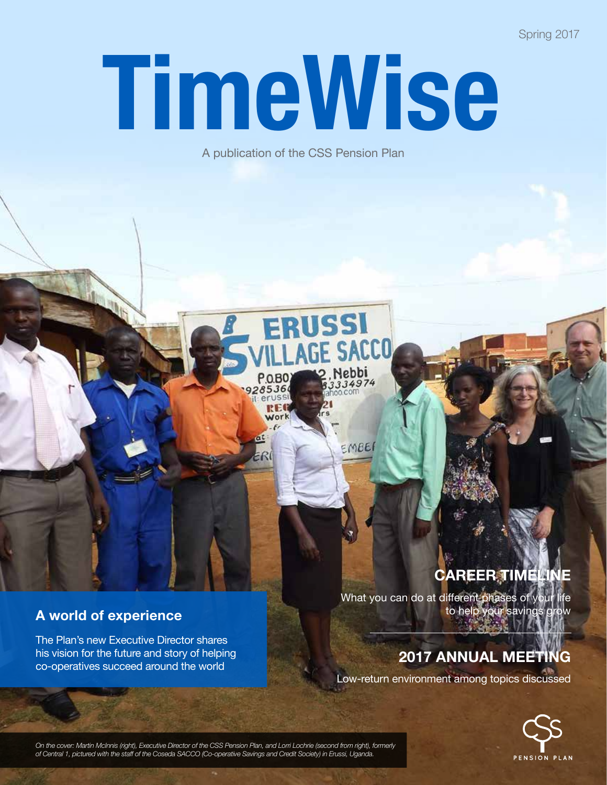Spring 2017

# TimeWise

A publication of the CSS Pension Plan

ERUSSI

 $P$ <sub>0.</sub>B<sub>0</sub>

285364 REC Mork

Nebbi

334974

EMBER

#### **A world of experience**

The Plan's new Executive Director shares his vision for the future and story of helping co-operatives succeed around the world

# **career timeline**

What you can do at different phases of your life to help your savings grow

## **2017 Annual meeting**

Low-return environment among topics discussed



*On the cover: Martin McInnis (right), Executive Director of the CSS Pension Plan, and Lorri Lochrie (second from right), formerly of Central 1, pictured with the staff of the Coseda SACCO (Co-operative Savings and Credit Society) in Erussi, Uganda.*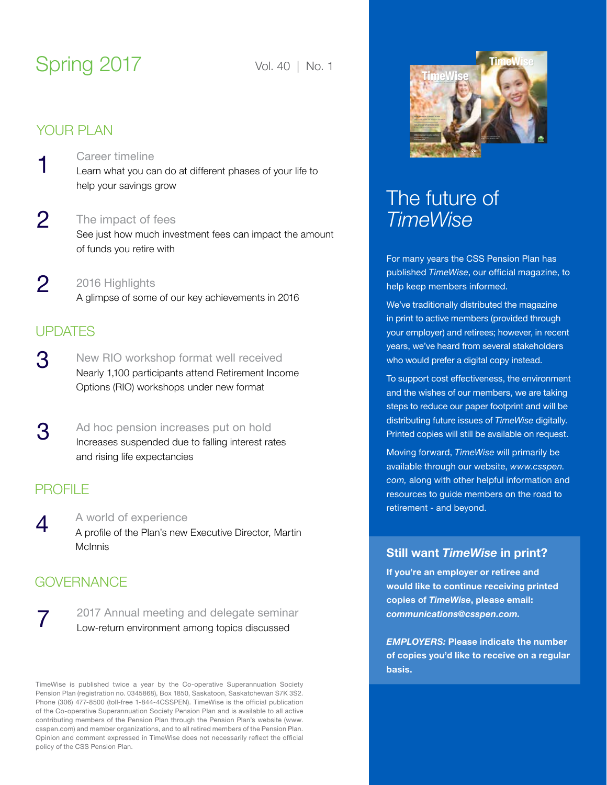# Spring 2017 Vol. 40 | No. 1

#### your plan

- [Career timeline](#page-2-0) Learn what you can do at different phases of your life to help your savings grow 1
- [The impact of fees](#page-3-0) See just how much investment fees can impact the amount of funds you retire with  $\mathcal{P}$
- [2016 Highlights](#page-3-0) A glimpse of some of our key achievements in 2016 2

## **UPDATES**

- [New RIO workshop format well received](#page-4-0) Nearly 1,100 participants attend Retirement Income Options (RIO) workshops under new format 3
- [Ad hoc pension increases put on hold](#page-4-0) Increases suspended due to falling interest rates and rising life expectancies 3

#### **PROFILE**

7

 $\boldsymbol{\varDelta}$ [A world of experience](#page-5-0) A profile of the Plan's new Executive Director, Martin McInnis

## **GOVERNANCE**

[2017 Annual meeting and delegate seminar](#page-8-0) Low-return environment among topics discussed

TimeWise is published twice a year by the Co-operative Superannuation Society Pension Plan (registration no. 0345868), Box 1850, Saskatoon, Saskatchewan S7K 3S2. Phone (306) 477-8500 (toll-free 1-844-4CSSPEN). TimeWise is the official publication of the Co-operative Superannuation Society Pension Plan and is available to all active contributing members of the Pension Plan through the Pension Plan's website (www. csspen.com) and member organizations, and to all retired members of the Pension Plan. Opinion and comment expressed in TimeWise does not necessarily reflect the official policy of the CSS Pension Plan.



# The future of *TimeWise*

For many years the CSS Pension Plan has published *TimeWise*, our official magazine, to help keep members informed.

We've traditionally distributed the magazine in print to active members (provided through your employer) and retirees; however, in recent years, we've heard from several stakeholders who would prefer a digital copy instead.

To support cost effectiveness, the environment and the wishes of our members, we are taking steps to reduce our paper footprint and will be distributing future issues of *TimeWise* digitally. Printed copies will still be available on request.

Moving forward, *TimeWise* will primarily be available through our website, *www.csspen. com,* along with other helpful information and resources to guide members on the road to retirement - and beyond.

#### **Still want** *TimeWise* **in print?**

**If you're an employer or retiree and would like to continue receiving printed copies of** *TimeWise***, please email:**  *communications@csspen.com.* 

*EMPLOYERS:* **Please indicate the number of copies you'd like to receive on a regular basis.**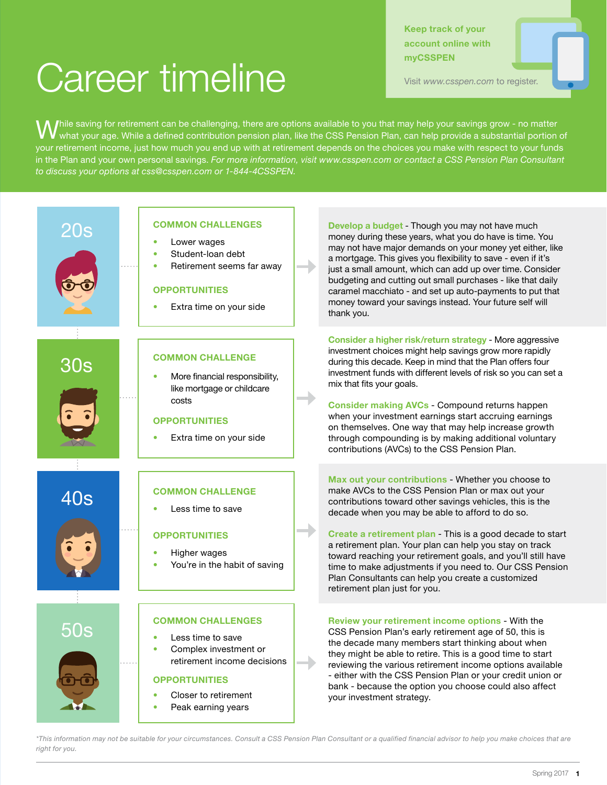# <span id="page-2-0"></span>Career timeline

**Keep track of your account online with myCSSPEN**

Visit *www.csspen.com* to register.

 $\bigvee$ hile saving for retirement can be challenging, there are options available to you that may help your savings grow - no matter<br>W what your age. While a defined contribution pension plan, like the CSS Pension Plan, ca your retirement income, just how much you end up with at retirement depends on the choices you make with respect to your funds in the Plan and your own personal savings. *For more information, visit www.csspen.com or contact a CSS Pension Plan Consultant to discuss your options at css@csspen.com or 1-844-4CSSPEN.*



#### **common challenges**

- Lower wages
- Student-loan debt
- Retirement seems far away

#### **opportunities**

Extra time on your side

#### **common challenge**

More financial responsibility, like mortgage or childcare

#### **opportunities**

Extra time on your side

#### **common challenge**

Less time to save

#### **opportunities**

- Higher wages
- You're in the habit of saving

#### **common challenges**

- • Less time to save
- Complex investment or retirement income decisions

#### **opportunities**

- Closer to retirement
- Peak earning years

**20s COMMON CHALLENGES Develop a budget** - Though you may not have much **Develop a budget** - Though you may not have much noney during these years, what you do have is time. You may not have major demands on your money yet either, like a mortgage. This gives you flexibility to save - even if it's just a small amount, which can add up over time. Consider budgeting and cutting out small purchases - like that daily caramel macchiato - and set up auto-payments to put that money toward your savings instead. Your future self will thank you.

> **Consider a higher risk/return strategy** - More aggressive investment choices might help savings grow more rapidly during this decade. Keep in mind that the Plan offers four investment funds with different levels of risk so you can set a mix that fits your goals.

**Consider making AVCs** - Compound returns happen when your investment earnings start accruing earnings on themselves. One way that may help increase growth through compounding is by making additional voluntary contributions (AVCs) to the CSS Pension Plan.

**Max out your contributions** - Whether you choose to make AVCs to the CSS Pension Plan or max out your contributions toward other savings vehicles, this is the decade when you may be able to afford to do so.

**Create a retirement plan** - This is a good decade to start a retirement plan. Your plan can help you stay on track toward reaching your retirement goals, and you'll still have time to make adjustments if you need to. Our CSS Pension Plan Consultants can help you create a customized retirement plan just for you.

**FOS** COMMON CHALLENGES Review your retirement income options - With the CSS Pension Plan's early retirement age of 50, this is  $\sim$  Less time to save the decade many members start thinking about when they might be able to retire. This is a good time to start reviewing the various retirement income options available - either with the CSS Pension Plan or your credit union or bank - because the option you choose could also affect your investment strategy.

*\*This information may not be suitable for your circumstances. Consult a CSS Pension Plan Consultant or a qualified financial advisor to help you make choices that are right for you.*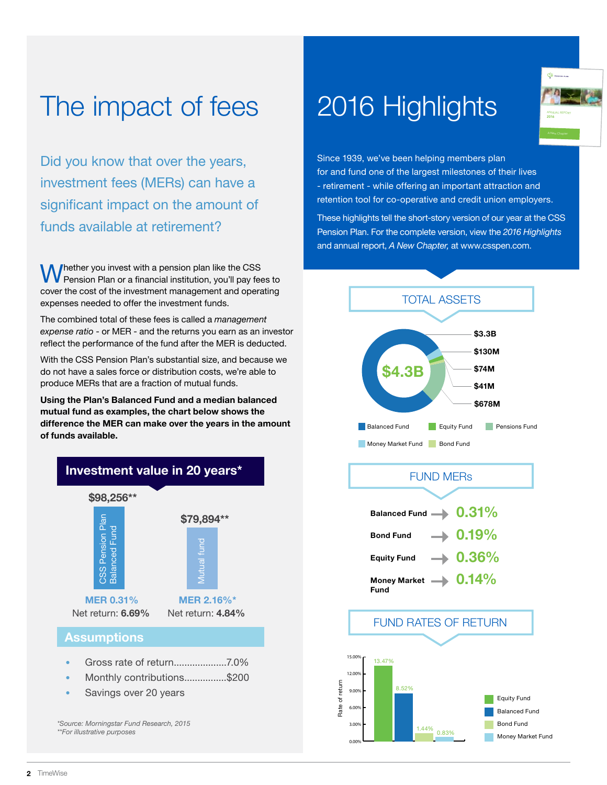# <span id="page-3-0"></span>The impact of fees

Did you know that over the years, investment fees (MERs) can have a significant impact on the amount of funds available at retirement?

Whether you invest with a pension plan like the CSS Pension Plan or a financial institution, you'll pay fees to cover the cost of the investment management and operating expenses needed to offer the investment funds.

The combined total of these fees is called a *management expense ratio* - or MER - and the returns you earn as an investor reflect the performance of the fund after the MER is deducted.

With the CSS Pension Plan's substantial size, and because we do not have a sales force or distribution costs, we're able to produce MERs that are a fraction of mutual funds.

**Using the Plan's Balanced Fund and a median balanced mutual fund as examples, the chart below shows the difference the MER can make over the years in the amount of funds available.**



# 2016 Highlights



Since 1939, we've been helping members plan for and fund one of the largest milestones of their lives - retirement - while offering an important attraction and retention tool for co-operative and credit union employers.

These highlights tell the short-story version of our year at the CSS Pension Plan. For the complete version, view the *2016 Highlights* and annual report, *A New Chapter,* at www.csspen.com.



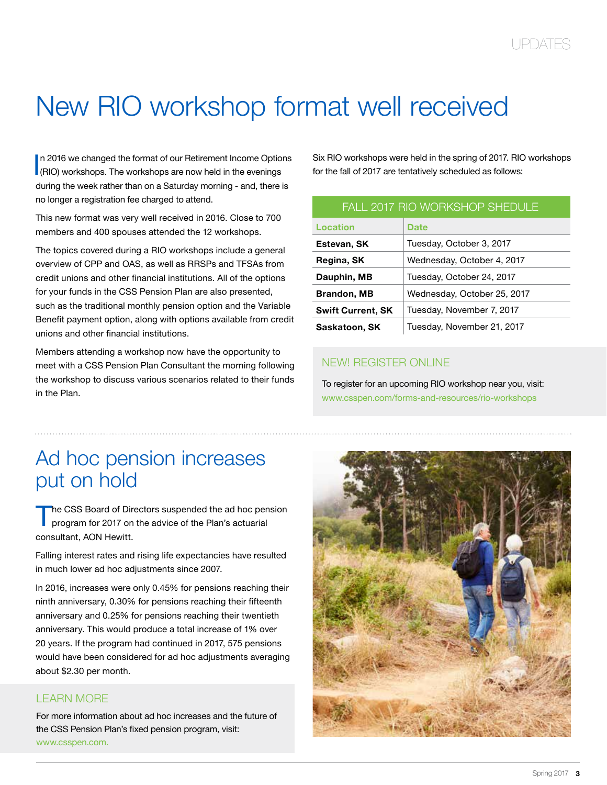# <span id="page-4-0"></span>New RIO workshop format well received

In 2016 we changed the format of our Retirement Income Option<br>(RIO) workshops. The workshops are now held in the evenings n 2016 we changed the format of our Retirement Income Options during the week rather than on a Saturday morning - and, there is no longer a registration fee charged to attend.

This new format was very well received in 2016. Close to 700 members and 400 spouses attended the 12 workshops.

The topics covered during a RIO workshops include a general overview of CPP and OAS, as well as RRSPs and TFSAs from credit unions and other financial institutions. All of the options for your funds in the CSS Pension Plan are also presented, such as the traditional monthly pension option and the Variable Benefit payment option, along with options available from credit unions and other financial institutions.

Members attending a workshop now have the opportunity to meet with a CSS Pension Plan Consultant the morning following the workshop to discuss various scenarios related to their funds in the Plan.

Six RIO workshops were held in the spring of 2017. RIO workshops for the fall of 2017 are tentatively scheduled as follows:

| <b>FALL 2017 RIO WORKSHOP SHEDULE</b> |                             |
|---------------------------------------|-----------------------------|
| Location                              | Date                        |
| Estevan, SK                           | Tuesday, October 3, 2017    |
| Regina, SK                            | Wednesday, October 4, 2017  |
| Dauphin, MB                           | Tuesday, October 24, 2017   |
| <b>Brandon, MB</b>                    | Wednesday, October 25, 2017 |
| <b>Swift Current, SK</b>              | Tuesday, November 7, 2017   |
| Saskatoon, SK                         | Tuesday, November 21, 2017  |

#### new! REGISTER ONLINE

To register for an upcoming RIO workshop near you, visit: [www.csspen.com/forms-and-resources/rio-workshops](https://www.csspen.com/forms-and-resources/rio-workshops)

# Ad hoc pension increases put on hold

The CSS Board of Directors suspended the ad hoc pension program for 2017 on the advice of the Plan's actuarial consultant, AON Hewitt.

Falling interest rates and rising life expectancies have resulted in much lower ad hoc adjustments since 2007.

In 2016, increases were only 0.45% for pensions reaching their ninth anniversary, 0.30% for pensions reaching their fifteenth anniversary and 0.25% for pensions reaching their twentieth anniversary. This would produce a total increase of 1% over 20 years. If the program had continued in 2017, 575 pensions would have been considered for ad hoc adjustments averaging about \$2.30 per month.

#### **LEARN MORE**

For more information about ad hoc increases and the future of the CSS Pension Plan's fixed pension program, visit: [www.csspen.com](https://www.csspen.com/forms-and-resources/rio-workshops).

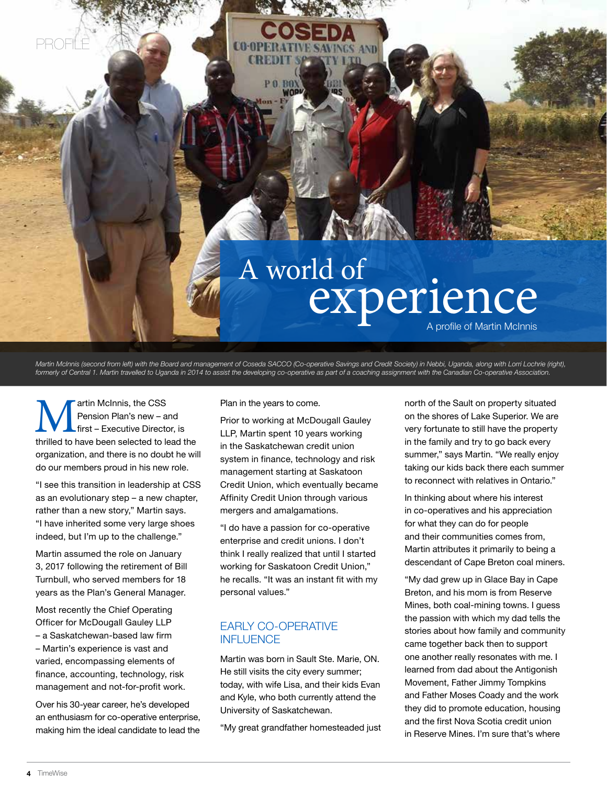<span id="page-5-0"></span>

Martin McInnis (second from left) with the Board and management of Coseda SACCO (Co-operative Savings and Credit Society) in Nebbi, Uganda, along with Lorri Lochrie (right), *formerly of Central 1. Martin travelled to Uganda in 2014 to assist the developing co-operative as part of a coaching assignment with the Canadian Co-operative Association.*

Martin McInnis, the CSS<br>
Pension Plan's new – and<br>
thrilled to have been selected to lead the Pension Plan's new – and first – Executive Director, is organization, and there is no doubt he will do our members proud in his new role.

"I see this transition in leadership at CSS as an evolutionary step – a new chapter, rather than a new story," Martin says. "I have inherited some very large shoes indeed, but I'm up to the challenge."

Martin assumed the role on January 3, 2017 following the retirement of Bill Turnbull, who served members for 18 years as the Plan's General Manager.

Most recently the Chief Operating Officer for McDougall Gauley LLP – a Saskatchewan-based law firm – Martin's experience is vast and varied, encompassing elements of finance, accounting, technology, risk management and not-for-profit work.

Over his 30-year career, he's developed an enthusiasm for co-operative enterprise, making him the ideal candidate to lead the Plan in the years to come.

Prior to working at McDougall Gauley LLP, Martin spent 10 years working in the Saskatchewan credit union system in finance, technology and risk management starting at Saskatoon Credit Union, which eventually became Affinity Credit Union through various mergers and amalgamations.

"I do have a passion for co-operative enterprise and credit unions. I don't think I really realized that until I started working for Saskatoon Credit Union," he recalls. "It was an instant fit with my personal values."

#### Early co-operative **INFLUENCE**

Martin was born in Sault Ste. Marie, ON. He still visits the city every summer; today, with wife Lisa, and their kids Evan and Kyle, who both currently attend the University of Saskatchewan.

"My great grandfather homesteaded just

north of the Sault on property situated on the shores of Lake Superior. We are very fortunate to still have the property in the family and try to go back every summer," says Martin. "We really enjoy taking our kids back there each summer to reconnect with relatives in Ontario."

In thinking about where his interest in co-operatives and his appreciation for what they can do for people and their communities comes from, Martin attributes it primarily to being a descendant of Cape Breton coal miners.

"My dad grew up in Glace Bay in Cape Breton, and his mom is from Reserve Mines, both coal-mining towns. I guess the passion with which my dad tells the stories about how family and community came together back then to support one another really resonates with me. I learned from dad about the Antigonish Movement, Father Jimmy Tompkins and Father Moses Coady and the work they did to promote education, housing and the first Nova Scotia credit union in Reserve Mines. I'm sure that's where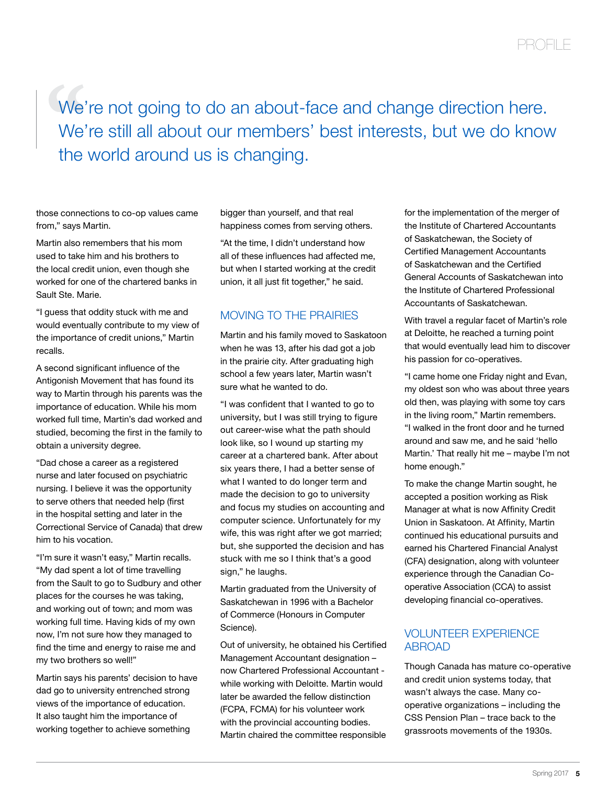We'<br>
We'<br>
the We're not going to do an about-face and change direction here. We're still all about our members' best interests, but we do know the world around us is changing.

those connections to co-op values came from," says Martin.

Martin also remembers that his mom used to take him and his brothers to the local credit union, even though she worked for one of the chartered banks in Sault Ste. Marie.

"I guess that oddity stuck with me and would eventually contribute to my view of the importance of credit unions," Martin recalls.

A second significant influence of the Antigonish Movement that has found its way to Martin through his parents was the importance of education. While his mom worked full time, Martin's dad worked and studied, becoming the first in the family to obtain a university degree.

"Dad chose a career as a registered nurse and later focused on psychiatric nursing. I believe it was the opportunity to serve others that needed help (first in the hospital setting and later in the Correctional Service of Canada) that drew him to his vocation.

"I'm sure it wasn't easy," Martin recalls. "My dad spent a lot of time travelling from the Sault to go to Sudbury and other places for the courses he was taking, and working out of town; and mom was working full time. Having kids of my own now, I'm not sure how they managed to find the time and energy to raise me and my two brothers so well!"

Martin says his parents' decision to have dad go to university entrenched strong views of the importance of education. It also taught him the importance of working together to achieve something

bigger than yourself, and that real happiness comes from serving others.

"At the time, I didn't understand how all of these influences had affected me, but when I started working at the credit union, it all just fit together," he said.

#### Moving to the prairies

Martin and his family moved to Saskatoon when he was 13, after his dad got a job in the prairie city. After graduating high school a few years later, Martin wasn't sure what he wanted to do.

"I was confident that I wanted to go to university, but I was still trying to figure out career-wise what the path should look like, so I wound up starting my career at a chartered bank. After about six years there, I had a better sense of what I wanted to do longer term and made the decision to go to university and focus my studies on accounting and computer science. Unfortunately for my wife, this was right after we got married; but, she supported the decision and has stuck with me so I think that's a good sign," he laughs.

Martin graduated from the University of Saskatchewan in 1996 with a Bachelor of Commerce (Honours in Computer Science).

Out of university, he obtained his Certified Management Accountant designation – now Chartered Professional Accountant while working with Deloitte. Martin would later be awarded the fellow distinction (FCPA, FCMA) for his volunteer work with the provincial accounting bodies. Martin chaired the committee responsible

for the implementation of the merger of the Institute of Chartered Accountants of Saskatchewan, the Society of Certified Management Accountants of Saskatchewan and the Certified General Accounts of Saskatchewan into the Institute of Chartered Professional Accountants of Saskatchewan.

With travel a regular facet of Martin's role at Deloitte, he reached a turning point that would eventually lead him to discover his passion for co-operatives.

"I came home one Friday night and Evan, my oldest son who was about three years old then, was playing with some toy cars in the living room," Martin remembers. "I walked in the front door and he turned around and saw me, and he said 'hello Martin.' That really hit me – maybe I'm not home enough."

To make the change Martin sought, he accepted a position working as Risk Manager at what is now Affinity Credit Union in Saskatoon. At Affinity, Martin continued his educational pursuits and earned his Chartered Financial Analyst (CFA) designation, along with volunteer experience through the Canadian Cooperative Association (CCA) to assist developing financial co-operatives.

#### Volunteer experience **ABROAD**

Though Canada has mature co-operative and credit union systems today, that wasn't always the case. Many cooperative organizations – including the CSS Pension Plan – trace back to the grassroots movements of the 1930s.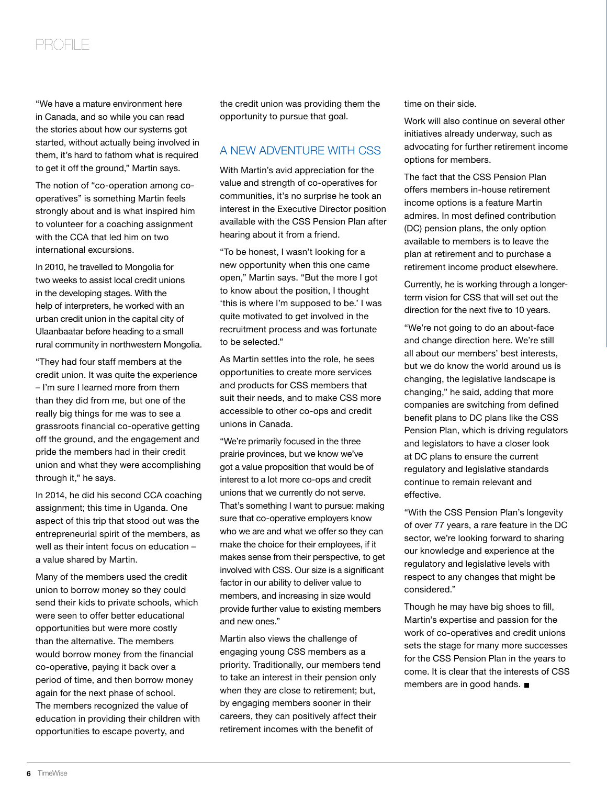## profile

"We have a mature environment here in Canada, and so while you can read the stories about how our systems got started, without actually being involved in them, it's hard to fathom what is required to get it off the ground," Martin says.

The notion of "co-operation among cooperatives" is something Martin feels strongly about and is what inspired him to volunteer for a coaching assignment with the CCA that led him on two international excursions.

In 2010, he travelled to Mongolia for two weeks to assist local credit unions in the developing stages. With the help of interpreters, he worked with an urban credit union in the capital city of Ulaanbaatar before heading to a small rural community in northwestern Mongolia.

"They had four staff members at the credit union. It was quite the experience – I'm sure I learned more from them than they did from me, but one of the really big things for me was to see a grassroots financial co-operative getting off the ground, and the engagement and pride the members had in their credit union and what they were accomplishing through it," he says.

In 2014, he did his second CCA coaching assignment; this time in Uganda. One aspect of this trip that stood out was the entrepreneurial spirit of the members, as well as their intent focus on education – a value shared by Martin.

Many of the members used the credit union to borrow money so they could send their kids to private schools, which were seen to offer better educational opportunities but were more costly than the alternative. The members would borrow money from the financial co-operative, paying it back over a period of time, and then borrow money again for the next phase of school. The members recognized the value of education in providing their children with opportunities to escape poverty, and

the credit union was providing them the opportunity to pursue that goal.

#### A new adventure with CSS

With Martin's avid appreciation for the value and strength of co-operatives for communities, it's no surprise he took an interest in the Executive Director position available with the CSS Pension Plan after hearing about it from a friend.

"To be honest, I wasn't looking for a new opportunity when this one came open," Martin says. "But the more I got to know about the position, I thought 'this is where I'm supposed to be.' I was quite motivated to get involved in the recruitment process and was fortunate to be selected."

As Martin settles into the role, he sees opportunities to create more services and products for CSS members that suit their needs, and to make CSS more accessible to other co-ops and credit unions in Canada.

"We're primarily focused in the three prairie provinces, but we know we've got a value proposition that would be of interest to a lot more co-ops and credit unions that we currently do not serve. That's something I want to pursue: making sure that co-operative employers know who we are and what we offer so they can make the choice for their employees, if it makes sense from their perspective, to get involved with CSS. Our size is a significant factor in our ability to deliver value to members, and increasing in size would provide further value to existing members and new ones."

Martin also views the challenge of engaging young CSS members as a priority. Traditionally, our members tend to take an interest in their pension only when they are close to retirement; but, by engaging members sooner in their careers, they can positively affect their retirement incomes with the benefit of

time on their side.

Work will also continue on several other initiatives already underway, such as advocating for further retirement income options for members.

The fact that the CSS Pension Plan offers members in-house retirement income options is a feature Martin admires. In most defined contribution (DC) pension plans, the only option available to members is to leave the plan at retirement and to purchase a retirement income product elsewhere.

Currently, he is working through a longerterm vision for CSS that will set out the direction for the next five to 10 years.

"We're not going to do an about-face and change direction here. We're still all about our members' best interests, but we do know the world around us is changing, the legislative landscape is changing," he said, adding that more companies are switching from defined benefit plans to DC plans like the CSS Pension Plan, which is driving regulators and legislators to have a closer look at DC plans to ensure the current regulatory and legislative standards continue to remain relevant and effective.

"With the CSS Pension Plan's longevity of over 77 years, a rare feature in the DC sector, we're looking forward to sharing our knowledge and experience at the regulatory and legislative levels with respect to any changes that might be considered."

Though he may have big shoes to fill, Martin's expertise and passion for the work of co-operatives and credit unions sets the stage for many more successes for the CSS Pension Plan in the years to come. It is clear that the interests of CSS members are in good hands. ■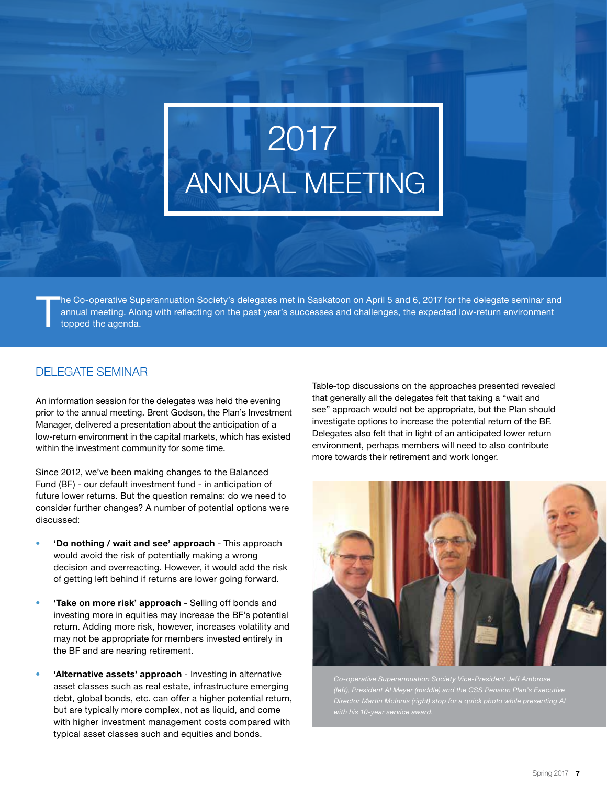# <span id="page-8-0"></span>2017 ANNUAL MEETING

The Co-operative Superannuation Society's delegates met in Saskatoon on April 5 and 6, 2017 for the delegate seminar and annual meeting. Along with reflecting on the past year's successes and challenges, the expected low-return environment topped the agenda.

#### delegate seminar

An information session for the delegates was held the evening prior to the annual meeting. Brent Godson, the Plan's Investment Manager, delivered a presentation about the anticipation of a low-return environment in the capital markets, which has existed within the investment community for some time.

Since 2012, we've been making changes to the Balanced Fund (BF) - our default investment fund - in anticipation of future lower returns. But the question remains: do we need to consider further changes? A number of potential options were discussed:

- **• 'Do nothing / wait and see' approach** This approach would avoid the risk of potentially making a wrong decision and overreacting. However, it would add the risk of getting left behind if returns are lower going forward.
- **• 'Take on more risk' approach** Selling off bonds and investing more in equities may increase the BF's potential return. Adding more risk, however, increases volatility and may not be appropriate for members invested entirely in the BF and are nearing retirement.
- **'Alternative assets' approach** Investing in alternative asset classes such as real estate, infrastructure emerging debt, global bonds, etc. can offer a higher potential return, but are typically more complex, not as liquid, and come with higher investment management costs compared with typical asset classes such and equities and bonds.

Table-top discussions on the approaches presented revealed that generally all the delegates felt that taking a "wait and see" approach would not be appropriate, but the Plan should investigate options to increase the potential return of the BF. Delegates also felt that in light of an anticipated lower return environment, perhaps members will need to also contribute more towards their retirement and work longer.



*Co-operative Superannuation Society Vice-President Jeff Ambrose (left), President Al Meyer (middle) and the CSS Pension Plan's Executive Director Martin McInnis (right) stop for a quick photo while presenting Al*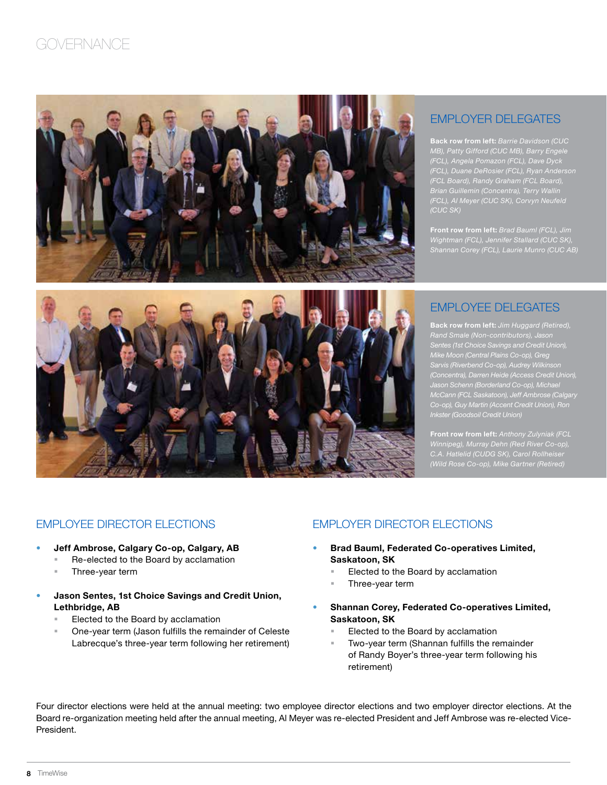## **GOVERNANCE**



#### employer delegates

**Back row from left:** *Barrie Davidson (CUC MB), Patty Gifford (CUC MB), Barry Engele (FCL), Angela Pomazon (FCL), Dave Dyck (FCL), Duane DeRosier (FCL), Ryan Anderson (CUC SK)*

**Front row from left:** *Brad Bauml (FCL), Jim Wightman (FCL), Jennifer Stallard (CUC SK), Shannan Corey (FCL), Laurie Munro (CUC AB)*



**Back row from left:** *Jim Huggard (Retired), Rand Smale (Non-contributors), Jason Sentes (1st Choice Savings and Credit Union), Mike Moon (Central Plains Co-op), Greg Sarvis (Riverbend Co-op), Audrey Wilkinson (Concentra), Darren Heide (Access Credit Union), Jason Schenn (Borderland Co-op), Michael McCann (FCL Saskatoon), Jeff Ambrose (Calgary* 

**Front row from left:** *Anthony Zulyniak (FCL Winnipeg), Murray Dehn (Red River Co-op), C.A. Hatlelid (CUDG SK), Carol Rollheiser* 

#### employee director elections employer director elections

- **Jeff Ambrose, Calgary Co-op, Calgary, AB** 
	- Re-elected to the Board by acclamation
	- Three-year term
- **Jason Sentes, 1st Choice Savings and Credit Union, Lethbridge, AB**
	- Elected to the Board by acclamation
	- One-year term (Jason fulfills the remainder of Celeste Labrecque's three-year term following her retirement)

- **Brad Bauml, Federated Co-operatives Limited, Saskatoon, SK**
	- Elected to the Board by acclamation
	- Three-year term
- **Shannan Corey, Federated Co-operatives Limited, Saskatoon, SK**
	- Elected to the Board by acclamation
	- Two-year term (Shannan fulfills the remainder of Randy Boyer's three-year term following his retirement)

Four director elections were held at the annual meeting: two employee director elections and two employer director elections. At the Board re-organization meeting held after the annual meeting, Al Meyer was re-elected President and Jeff Ambrose was re-elected Vice-President.

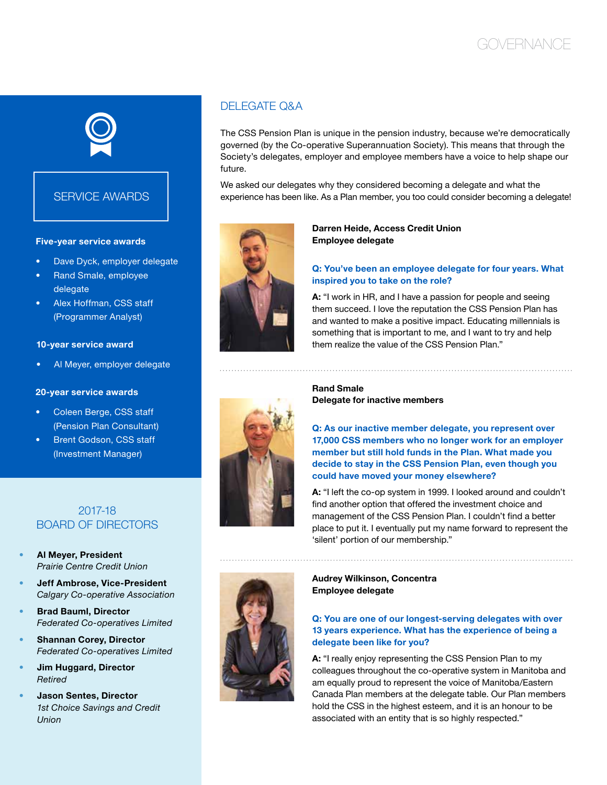## **GOVERNANCE**



#### **SERVICE AWARDS**

#### **Five-year service awards**

- Dave Dyck, employer delegate
- Rand Smale, employee delegate
- Alex Hoffman, CSS staff (Programmer Analyst)

#### **10-year service award**

Al Meyer, employer delegate

#### **20-year service awards**

- Coleen Berge, CSS staff (Pension Plan Consultant)
- **Brent Godson, CSS staff** (Investment Manager)

#### 2017-18 board of directors

- **• Al Meyer, President** *Prairie Centre Credit Union*
- **Jeff Ambrose, Vice-President** *Calgary Co-operative Association*
- **Brad Bauml, Director** *Federated Co-operatives Limited*
- **Shannan Corey, Director** *Federated Co-operatives Limited*
- **• Jim Huggard, Director** *Retired*
- **• Jason Sentes, Director** *1st Choice Savings and Credit Union*

#### DEI EGATE O&A

The CSS Pension Plan is unique in the pension industry, because we're democratically governed (by the Co-operative Superannuation Society). This means that through the Society's delegates, employer and employee members have a voice to help shape our future.

We asked our delegates why they considered becoming a delegate and what the experience has been like. As a Plan member, you too could consider becoming a delegate!



#### **Darren Heide, Access Credit Union Employee delegate**

#### **Q: You've been an employee delegate for four years. What inspired you to take on the role?**

**A:** "I work in HR, and I have a passion for people and seeing them succeed. I love the reputation the CSS Pension Plan has and wanted to make a positive impact. Educating millennials is something that is important to me, and I want to try and help them realize the value of the CSS Pension Plan."



**Rand Smale Delegate for inactive members**

**Q: As our inactive member delegate, you represent over 17,000 CSS members who no longer work for an employer member but still hold funds in the Plan. What made you decide to stay in the CSS Pension Plan, even though you could have moved your money elsewhere?**

**A:** "I left the co-op system in 1999. I looked around and couldn't find another option that offered the investment choice and management of the CSS Pension Plan. I couldn't find a better place to put it. I eventually put my name forward to represent the 'silent' portion of our membership."



**Audrey Wilkinson, Concentra Employee delegate**

#### **Q: You are one of our longest-serving delegates with over 13 years experience. What has the experience of being a delegate been like for you?**

**A:** "I really enjoy representing the CSS Pension Plan to my colleagues throughout the co-operative system in Manitoba and am equally proud to represent the voice of Manitoba/Eastern Canada Plan members at the delegate table. Our Plan members hold the CSS in the highest esteem, and it is an honour to be associated with an entity that is so highly respected."